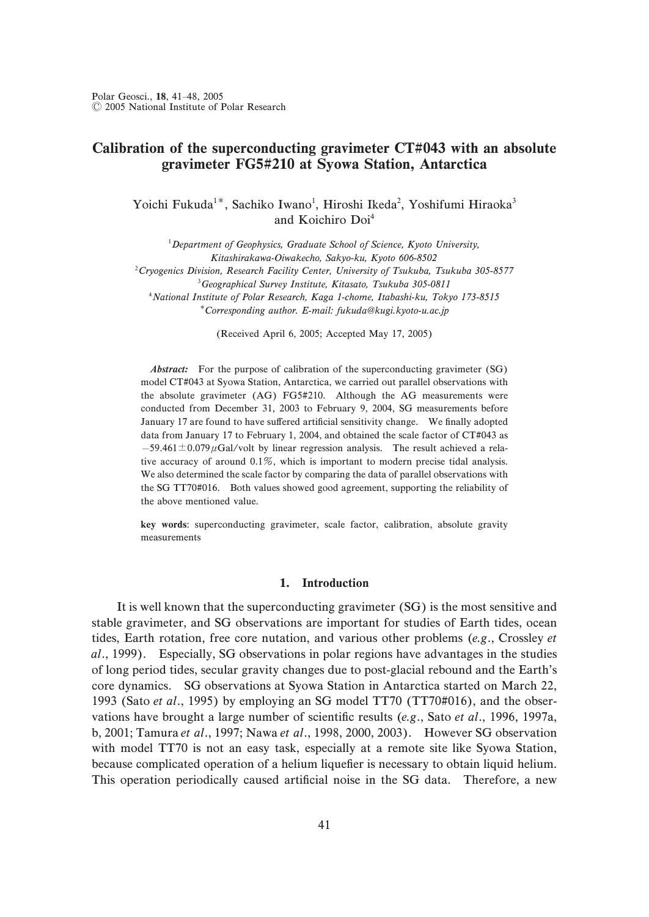# Calibration of the superconducting gravimeter  $CT#043$  with an absolute gravimeter FG5#210 at Syowa Station, Antarctica

Yoichi Fukuda<sup>1\*</sup>, Sachiko Iwano<sup>1</sup>, Hiroshi Ikeda<sup>2</sup>, Yoshifumi Hiraoka<sup>3</sup> and Koichiro Doi<sup>4</sup>

 ${}^{1}$ Department of Geophysics, Graduate School of Science, Kyoto University, Kitashirakawa-Oiwakecho, Sakyo-ku, Kyoto 606-8502  $^{2}$ Cryogenics Division, Research Facility Center, University of Tsukuba, Tsukuba 305-8577  $3G$ eographical Survey Institute, Kitasato, Tsukuba 305-0811 <sup>4</sup> National Institute of Polar Research, Kaga 1-chome, Itabashi-ku, Tokyo 173-8515 Corresponding author. E-mail: fukuda@kugi.kyoto-u.ac.jp

(Received April 6, 2005; Accepted May  $17, 2005$ )

Abstract: For the purpose of calibration of the superconducting gravimeter (SG) model CT#043 at Syowa Station, Antarctica, we carried out parallel observations with the absolute gravimeter (AG) FG5#210. Although the AG measurements were conducted from December 31, 2003 to February 9, 2004, SG measurements before January 17 are found to have suffered artificial sensitivity change. We finally adopted data from January 17 to February 1, 2004, and obtained the scale factor of CT#043 as  $-59.461 \pm 0.079 \,\mu$ Gal/volt by linear regression analysis. The result achieved a relative accuracy of around  $0.1\%$ , which is important to modern precise tidal analysis. We also determined the scale factor by comparing the data of parallel observations with the SG TT70#016. Both values showed good agreement, supporting the reliability of the above mentioned value.

key words: superconducting gravimeter, scale factor, calibration, absolute gravity measurements

### 1. Introduction

It is well known that the superconducting gravimeter (SG) is the most sensitive and stable gravimeter, and SG observations are important for studies of Earth tides, ocean tides, Earth rotation, free core nutation, and various other problems (e.g., Crossley et  $al.$ , 1999). Especially, SG observations in polar regions have advantages in the studies of long period tides, secular gravity changes due to post-glacial rebound and the Earth's core dynamics. SG observations at Syowa Station in Antarctica started on March 22, 1993 (Sato et al., 1995) by employing an SG model TT70 (TT70#016), and the observations have brought a large number of scientific results (e.g., Sato et al., 1996, 1997a, b, 2001; Tamura et al., 1997; Nawa et al., 1998, 2000, 2003). However SG observation with model TT70 is not an easy task, especially at a remote site like Syowa Station, because complicated operation of a helium liquefier is necessary to obtain liquid helium. This operation periodically caused artificial noise in the SG data. Therefore, a new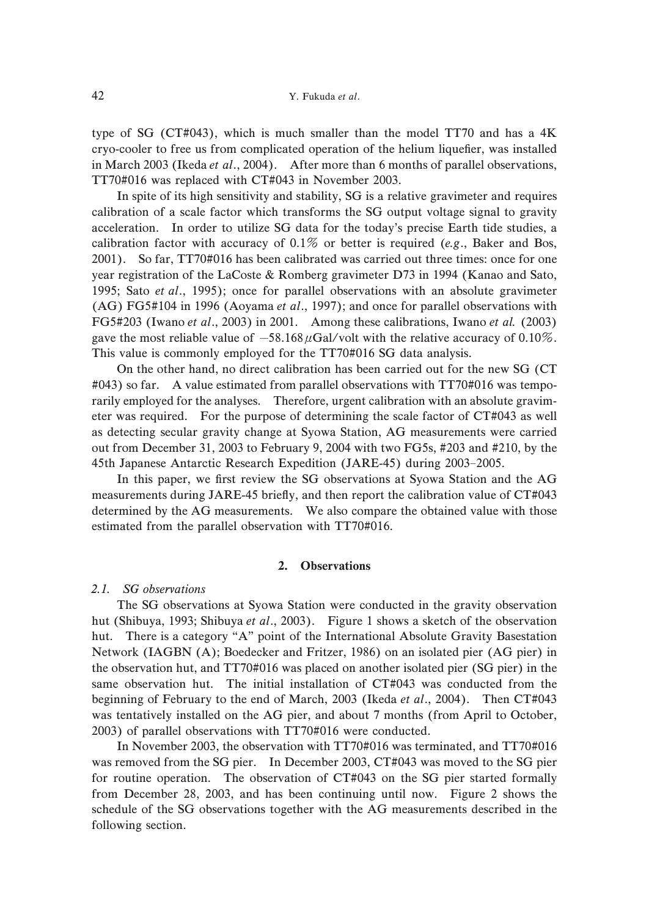type of SG (CT#043), which is much smaller than the model TT70 and has a  $4K$ cryo-cooler to free us from complicated operation of the helium liquefier, was installed in March 2003 (Ikeda et al., 2004). After more than 6 months of parallel observations,  $TT70\#016$  was replaced with CT#043 in November 2003.

In spite of its high sensitivity and stability, SG is a relative gravimeter and requires calibration of a scale factor which transforms the SG output voltage signal to gravity acceleration. In order to utilize SG data for the today's precise Earth tide studies, a calibration factor with accuracy of  $0.1\%$  or better is required (e.g., Baker and Bos, 2001). So far, TT70#016 has been calibrated was carried out three times: once for one year registration of the LaCoste & Romberg gravimeter D73 in 1994 (Kanao and Sato, 1995; Sato et al., 1995); once for parallel observations with an absolute gravimeter (AG) FG5#104 in 1996 (Aoyama et al., 1997); and once for parallel observations with FG5#203 (Iwano et al., 2003) in 2001. Among these calibrations, Iwano et al.  $(2003)$ gave the most reliable value of  $-58.168 \mu$ Gal/volt with the relative accuracy of 0.10%. This value is commonly employed for the TT70#016 SG data analysis.

On the other hand, no direct calibration has been carried out for the new SG (CT  $\text{\#043}$  so far. A value estimated from parallel observations with TT70#016 was temporarily employed for the analyses. Therefore, urgent calibration with an absolute gravimeter was required. For the purpose of determining the scale factor of  $CT#043$  as well as detecting secular gravity change at Syowa Station, AG measurements were carried out from December 31, 2003 to February 9, 2004 with two FG5s, #203 and #210, by the 45th Japanese Antarctic Research Expedition (JARE-45) during 2003–2005.

In this paper, we first review the SG observations at Syowa Station and the AG measurements during JARE-45 briefly, and then report the calibration value of  $CT#043$ . determined by the AG measurements. We also compare the obtained value with those estimated from the parallel observation with  $TT70#016$ .

### 2. Observations

#### 2.1. SG observations

The SG observations at Syowa Station were conducted in the gravity observation hut (Shibuya, 1993; Shibuya et al., 2003). Figure 1 shows a sketch of the observation hut. There is a category "A" point of the International Absolute Gravity Basestation Network (IAGBN (A); Boedecker and Fritzer, 1986) on an isolated pier (AG pier) in the observation hut, and TT70#016 was placed on another isolated pier (SG pier) in the same observation hut. The initial installation of  $CT#043$  was conducted from the beginning of February to the end of March, 2003 (Ikeda et al., 2004). Then CT#043 was tentatively installed on the AG pier, and about 7 months (from April to October, 2003) of parallel observations with TT70#016 were conducted.

In November 2003, the observation with  $TT70\#016$  was terminated, and  $TT70\#016$ was removed from the SG pier. In December 2003,  $CT#043$  was moved to the SG pier for routine operation. The observation of  $CT#043$  on the SG pier started formally from December 28, 2003, and has been continuing until now. Figure 2 shows the schedule of the SG observations together with the AG measurements described in the following section.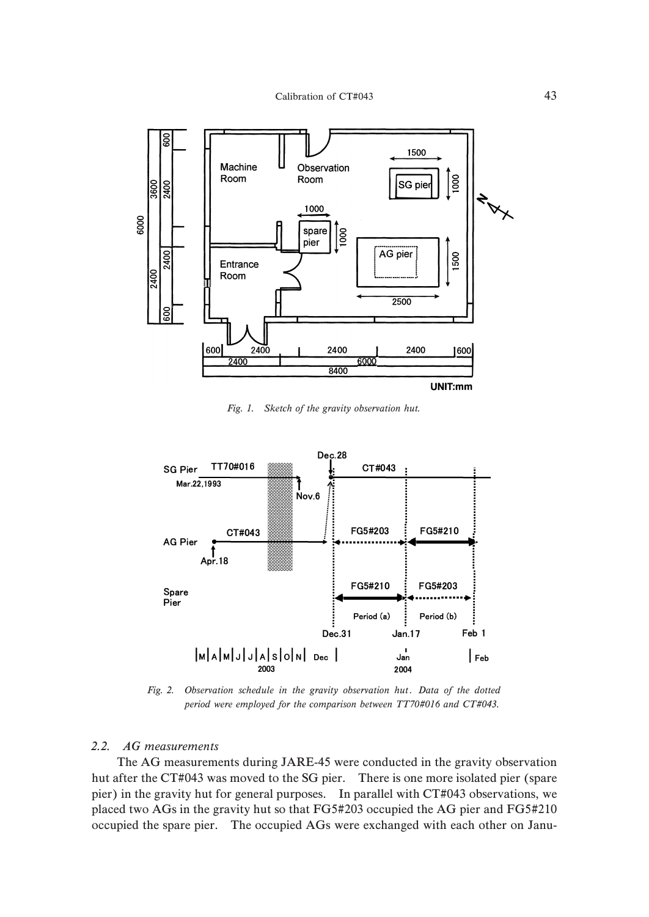

Fig. 1. Sketch of the gravity observation hut.



Fig. 2. Observation schedule in the gravity observation hut. Data of the dotted period were employed for the comparison between  $TT70#016$  and  $CT#043$ .

## 2.2. AG measurements

The AG measurements during JARE-45 were conducted in the gravity observation hut after the CT#043 was moved to the SG pier. There is one more isolated pier (spare pier) in the gravity hut for general purposes. In parallel with CT#043 observations, we placed two AGs in the gravity hut so that FG5#203 occupied the AG pier and FG5#210 occupied the spare pier. The occupied AGs were exchanged with each other on Janu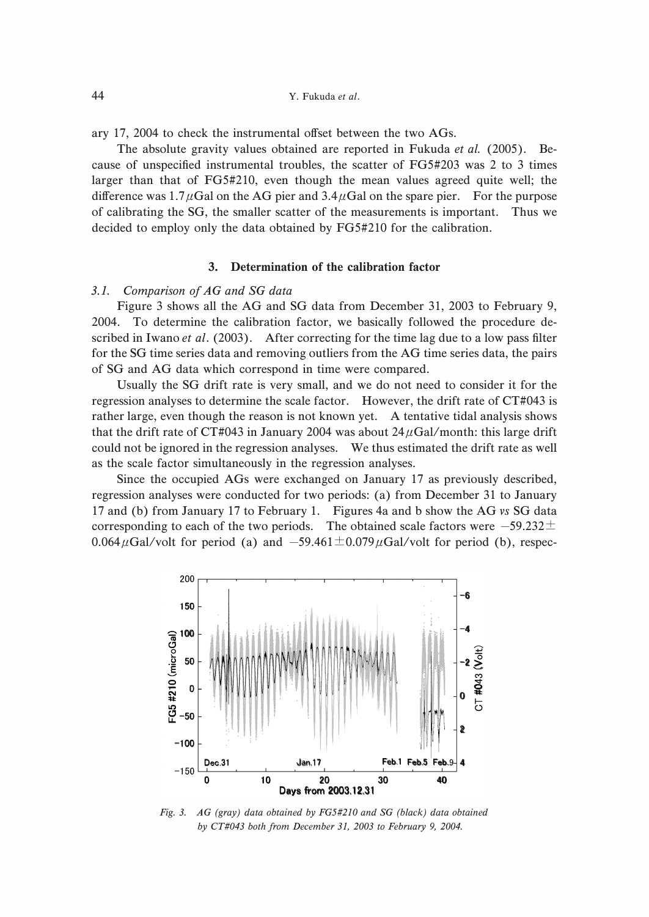ary 17, 2004 to check the instrumental offset between the two AGs.

The absolute gravity values obtained are reported in Fukuda *et al.* (2005). Because of unspecified instrumental troubles, the scatter of  $FG5#203$  was 2 to 3 times larger than that of  $FG5#210$ , even though the mean values agreed quite well; the difference was  $1.7 \mu$ Gal on the AG pier and  $3.4 \mu$ Gal on the spare pier. For the purpose of calibrating the SG, the smaller scatter of the measurements is important. Thus we decided to employ only the data obtained by FG5#210 for the calibration.

### 3. Determination of the calibration factor

### 3.1. Comparison of AG and SG data

Figure 3 shows all the AG and SG data from December 31, 2003 to February 9, 2004. To determine the calibration factor, we basically followed the procedure described in Iwano *et al.* (2003). After correcting for the time lag due to a low pass filter for the SG time series data and removing outliers from the AG time series data, the pairs of SG and AG data which correspond in time were compared.

Usually the SG drift rate is very small, and we do not need to consider it for the regression analyses to determine the scale factor. However, the drift rate of  $CT#043$  is rather large, even though the reason is not known yet. A tentative tidal analysis shows that the drift rate of CT#043 in January 2004 was about  $24 \mu$ Gal/month: this large drift could not be ignored in the regression analyses. We thus estimated the drift rate as well as the scale factor simultaneously in the regression analyses.

Since the occupied AGs were exchanged on January 17 as previously described, regression analyses were conducted for two periods: (a) from December 31 to January 17 and (b) from January 17 to February 1. Figures 4a and b show the AG vs SG data corresponding to each of the two periods. The obtained scale factors were  $-59.232 \pm$ 0.064 $\mu$ Gal/volt for period (a) and  $-59.461 \pm 0.079 \mu$ Gal/volt for period (b), respec-



Fig. 3.  $AG$  (gray) data obtained by FG5#210 and SG (black) data obtained by CT#043 both from December 31, 2003 to February 9, 2004.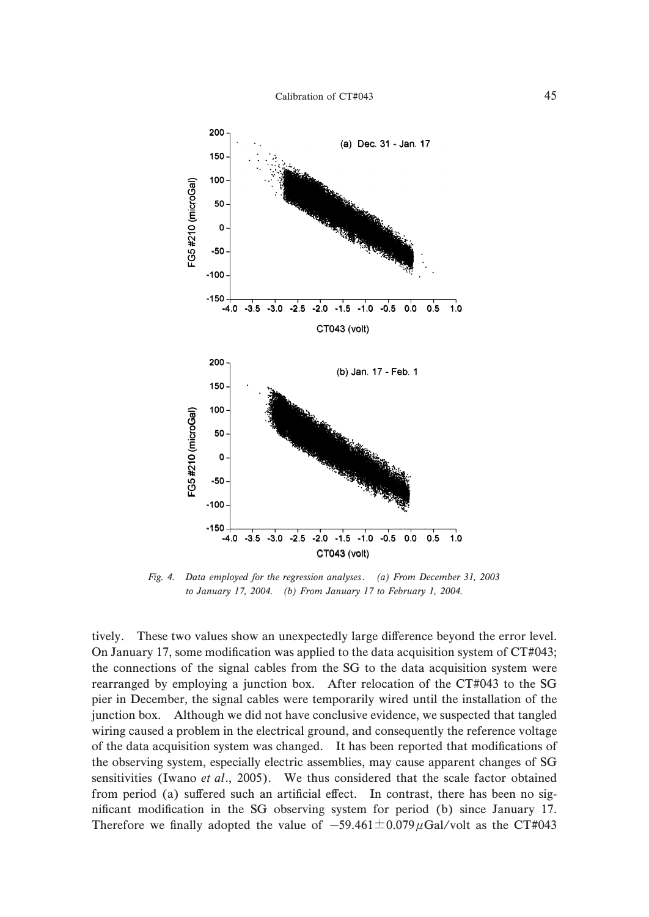

Fig. 4. Data employed for the regression analyses. (a) From December 31, 2003 to January 17, 2004. (b) From January 17 to February 1, 2004.

tively. These two values show an unexpectedly large difference beyond the error level. On January 17, some modification was applied to the data acquisition system of  $CT#043$ ; the connections of the signal cables from the SG to the data acquisition system were rearranged by employing a junction box. After relocation of the CT#043 to the SG. pier in December, the signal cables were temporarily wired until the installation of the junction box. Although we did not have conclusive evidence, we suspected that tangled wiring caused a problem in the electrical ground, and consequently the reference voltage of the data acquisition system was changed. It has been reported that modifications of the observing system, especially electric assemblies, may cause apparent changes of SG sensitivities (Iwano et al., 2005). We thus considered that the scale factor obtained from period (a) suffered such an artificial effect. In contrast, there has been no significant modification in the SG observing system for period (b) since January 17. Therefore we finally adopted the value of  $-59.461 \pm 0.079 \mu$ Gal/volt as the CT#043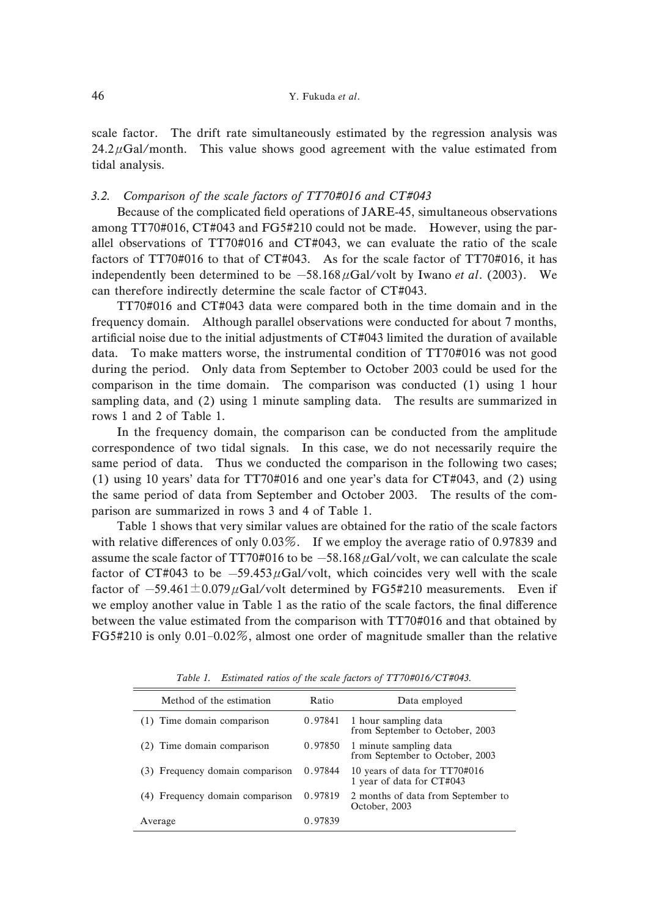scale factor. The drift rate simultaneously estimated by the regression analysis was  $24.2 \mu$ Gal/month. This value shows good agreement with the value estimated from tidal analysis.

### 3.2. Comparison of the scale factors of  $TT70#016$  and  $CT#043$

Because of the complicated field operations of JARE-45, simultaneous observations among  $TT70\#016$ ,  $CT\#043$  and  $FG5\#210$  could not be made. However, using the parallel observations of  $TT70#016$  and  $CT#043$ , we can evaluate the ratio of the scale factors of TT70#016 to that of CT#043. As for the scale factor of TT70#016, it has independently been determined to be  $-58.168 \mu \text{Gal/volt}$  by Iwano et al. (2003). We can therefore indirectly determine the scale factor of  $CT#043$ .

 $TT70#016$  and  $CT#043$  data were compared both in the time domain and in the frequency domain. Although parallel observations were conducted for about 1 months, artificial noise due to the initial adjustments of  $CT#043$  limited the duration of available data. To make matters worse, the instrumental condition of  $TT70#016$  was not good during the period. Only data from September to October 2003 could be used for the comparison in the time domain. The comparison was conducted  $(1)$  using  $1$  hour sampling data, and  $(2)$  using 1 minute sampling data. The results are summarized in rows 1 and 2 of Table 1.

In the frequency domain, the comparison can be conducted from the amplitude correspondence of two tidal signals. In this case, we do not necessarily require the same period of data. Thus we conducted the comparison in the following two cases; (1) using 10 years' data for  $TT70#016$  and one year's data for  $CT#043$ , and (2) using the same period of data from September and October 2003. The results of the comparison are summarized in rows 3 and 4 of Table 1.

Table 1 shows that very similar values are obtained for the ratio of the scale factors with relative differences of only  $0.03\%$ . If we employ the average ratio of 0.97839 and assume the scale factor of TT70#016 to be  $-58.168 \mu$ Gal/volt, we can calculate the scale factor of CT#043 to be  $-59.453 \mu$ Gal/volt, which coincides very well with the scale factor of  $-59.461 \pm 0.079 \mu$ Gal/volt determined by FG5#210 measurements. Even if we employ another value in Table 1 as the ratio of the scale factors, the final difference between the value estimated from the comparison with TT70#016 and that obtained by FG5#210 is only  $0.01-0.02\%$ , almost one order of magnitude smaller than the relative

| Method of the estimation        | Ratio   | Data employed                                              |
|---------------------------------|---------|------------------------------------------------------------|
| (1) Time domain comparison      | 0.97841 | 1 hour sampling data<br>from September to October, 2003    |
| (2) Time domain comparison      | 0.97850 | 1 minute sampling data<br>from September to October, 2003  |
| (3) Frequency domain comparison | 0.97844 | 10 years of data for TT70#016<br>1 year of data for CT#043 |
| (4) Frequency domain comparison | 0.97819 | 2 months of data from September to<br>October, 2003        |
| Average                         | 0.97839 |                                                            |

Table 1. Estimated ratios of the scale factors of  $TT70#016/CT#043$ .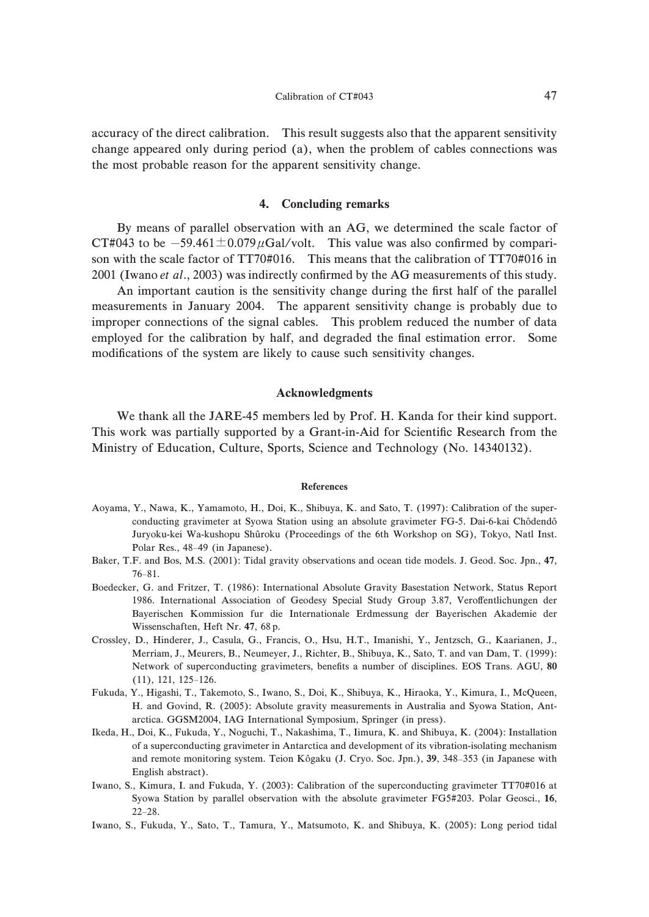accuracy of the direct calibration. This result suggests also that the apparent sensitivity change appeared only during period (a), when the problem of cables connections was the most probable reason for the apparent sensitivity change.

### 4. Concluding remarks

By means of parallel observation with an AG, we determined the scale factor of CT#043 to be  $-59.461 \pm 0.079 \mu$ Gal/volt. This value was also confirmed by comparison with the scale factor of TT70#016. This means that the calibration of TT70#016 in 2001 (Iwano et al., 2003) was indirectly confirmed by the AG measurements of this study.

An important caution is the sensitivity change during the first half of the parallel measurements in January 2004. The apparent sensitivity change is probably due to improper connections of the signal cables. This problem reduced the number of data employed for the calibration by half, and degraded the final estimation error. Some modifications of the system are likely to cause such sensitivity changes.

#### Acknowledgments

We thank all the JARE-45 members led by Prof. H. Kanda for their kind support. This work was partially supported by a Grant-in-Aid for Scientific Research from the Ministry of Education, Culture, Sports, Science and Technology (No. 14340132).

#### References

- Aoyama, Y., Nawa, K., Yamamoto, H., Doi, K., Shibuya, K. and Sato, T. (1997): Calibration of the superconducting gravimeter at Syowa Station using an absolute gravimeter FG-5. Dai-6-kai Chôdendô Juryoku-kei Wa-kushopu Shûroku (Proceedings of the 6th Workshop on SG), Tokyo, Natl Inst. Polar Res., 48-49 (in Japanese).
- Baker, T.F. and Bos, M.S. (2001): Tidal gravity observations and ocean tide models. J. Geod. Soc. Jpn., 47,  $76 - 81.$
- Boedecker, G. and Fritzer, T. (1986): International Absolute Gravity Basestation Network, Status Report 1986. International Association of Geodesy Special Study Group 3.87, Veroffentlichungen der Bayerischen Kommission fur die Internationale Erdmessung der Bayerischen Akademie der Wissenschaften, Heft Nr. 47, 68 p.
- Crossley, D., Hinderer, J., Casula, G., Francis, O., Hsu, H.T., Imanishi, Y., Jentzsch, G., Kaarianen, J., Merriam, J., Meurers, B., Neumeyer, J., Richter, B., Shibuya, K., Sato, T. and van Dam, T. (1999): Network of superconducting gravimeters, benefits a number of disciplines. EOS Trans. AGU, 80  $(11), 121, 125-126.$
- Fukuda, Y., Higashi, T., Takemoto, S., Iwano, S., Doi, K., Shibuya, K., Hiraoka, Y., Kimura, I., McQueen, H. and Govind, R. (2005): Absolute gravity measurements in Australia and Syowa Station, Antarctica. GGSM2004, IAG International Symposium, Springer (in press).
- Ikeda, H., Doi, K., Fukuda, Y., Noguchi, T., Nakashima, T., Iimura, K. and Shibuya, K. (2004): Installation of a superconducting gravimeter in Antarctica and development of its vibration-isolating mechanism and remote monitoring system. Teion Kôgaku (J. Cryo. Soc. Jpn.), 39, 348-353 (in Japanese with English abstract).
- Iwano, S., Kimura, I. and Fukuda, Y. (2003): Calibration of the superconducting gravimeter TT70#016 at Syowa Station by parallel observation with the absolute gravimeter FG5#203. Polar Geosci., 16,  $22 - 28.$
- Iwano, S., Fukuda, Y., Sato, T., Tamura, Y., Matsumoto, K. and Shibuya, K. (2005): Long period tidal